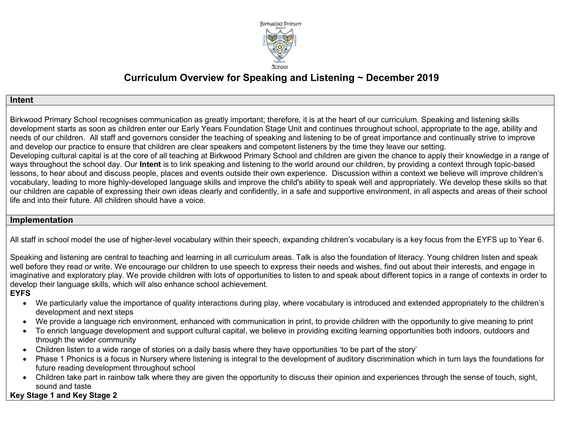

# **Curriculum Overview for Speaking and Listening ~ December 2019**

#### **Intent**

Birkwood Primary School recognises communication as greatly important; therefore, it is at the heart of our curriculum. Speaking and listening skills development starts as soon as children enter our Early Years Foundation Stage Unit and continues throughout school, appropriate to the age, ability and needs of our children. All staff and governors consider the teaching of speaking and listening to be of great importance and continually strive to improve and develop our practice to ensure that children are clear speakers and competent listeners by the time they leave our setting. Developing cultural capital is at the core of all teaching at Birkwood Primary School and children are given the chance to apply their knowledge in a range of ways throughout the school day. Our **Intent** is to link speaking and listening to the world around our children, by providing a context through topic-based lessons, to hear about and discuss people, places and events outside their own experience. Discussion within a context we believe will improve children's vocabulary, leading to more highly-developed language skills and improve the child's ability to speak well and appropriately. We develop these skills so that our children are capable of expressing their own ideas clearly and confidently, in a safe and supportive environment, in all aspects and areas of their school

life and into their future. All children should have a voice.

#### **Implementation**

All staff in school model the use of higher-level vocabulary within their speech, expanding children's vocabulary is a key focus from the EYFS up to Year 6.

Speaking and listening are central to teaching and learning in all curriculum areas. Talk is also the foundation of literacy. Young children listen and speak well before they read or write. We encourage our children to use speech to express their needs and wishes, find out about their interests, and engage in imaginative and exploratory play. We provide children with lots of opportunities to listen to and speak about different topics in a range of contexts in order to develop their language skills, which will also enhance school achievement.

#### **EYFS**

- We particularly value the importance of quality interactions during play, where vocabulary is introduced and extended appropriately to the children's development and next steps
- We provide a language rich environment, enhanced with communication in print, to provide children with the opportunity to give meaning to print
- To enrich language development and support cultural capital, we believe in providing exciting learning opportunities both indoors, outdoors and through the wider community
- Children listen to a wide range of stories on a daily basis where they have opportunities 'to be part of the story'
- Phase 1 Phonics is a focus in Nursery where listening is integral to the development of auditory discrimination which in turn lays the foundations for future reading development throughout school
- Children take part in rainbow talk where they are given the opportunity to discuss their opinion and experiences through the sense of touch, sight, sound and taste

## **Key Stage 1 and Key Stage 2**